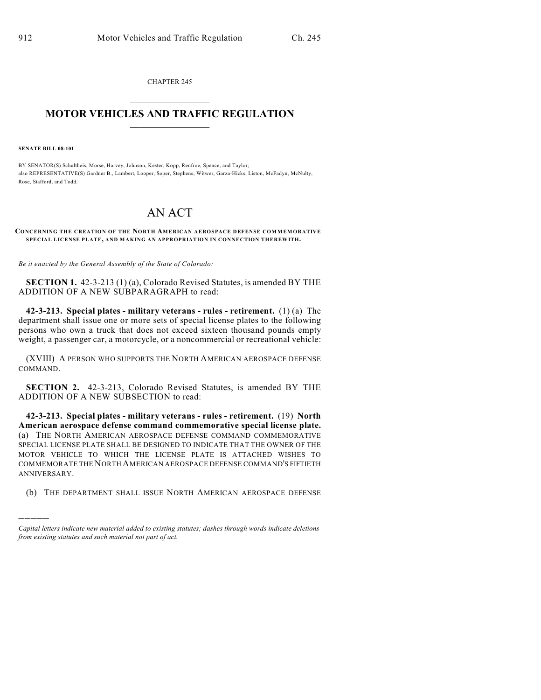CHAPTER 245  $\mathcal{L}_\text{max}$  . The set of the set of the set of the set of the set of the set of the set of the set of the set of the set of the set of the set of the set of the set of the set of the set of the set of the set of the set

## **MOTOR VEHICLES AND TRAFFIC REGULATION**  $\frac{1}{2}$  ,  $\frac{1}{2}$  ,  $\frac{1}{2}$  ,  $\frac{1}{2}$  ,  $\frac{1}{2}$  ,  $\frac{1}{2}$  ,  $\frac{1}{2}$  ,  $\frac{1}{2}$

**SENATE BILL 08-101**

)))))

BY SENATOR(S) Schultheis, Morse, Harvey, Johnson, Kester, Kopp, Renfroe, Spence, and Taylor; also REPRESENTATIVE(S) Gardner B., Lambert, Looper, Soper, Stephens, Witwer, Garza-Hicks, Liston, McFadyn, McNulty, Rose, Stafford, and Todd.

## AN ACT

**CONCERNING THE CREATION OF THE NORTH AMERICAN AEROSPACE DEFENSE COMMEMORATIVE SPECIAL LICENSE PLATE, AND MAKING AN APPROPRIATION IN CONNECTION THEREWITH.**

*Be it enacted by the General Assembly of the State of Colorado:*

**SECTION 1.** 42-3-213 (1) (a), Colorado Revised Statutes, is amended BY THE ADDITION OF A NEW SUBPARAGRAPH to read:

**42-3-213. Special plates - military veterans - rules - retirement.** (1) (a) The department shall issue one or more sets of special license plates to the following persons who own a truck that does not exceed sixteen thousand pounds empty weight, a passenger car, a motorcycle, or a noncommercial or recreational vehicle:

(XVIII) A PERSON WHO SUPPORTS THE NORTH AMERICAN AEROSPACE DEFENSE COMMAND.

**SECTION 2.** 42-3-213, Colorado Revised Statutes, is amended BY THE ADDITION OF A NEW SUBSECTION to read:

**42-3-213. Special plates - military veterans - rules - retirement.** (19) **North American aerospace defense command commemorative special license plate.** (a) THE NORTH AMERICAN AEROSPACE DEFENSE COMMAND COMMEMORATIVE SPECIAL LICENSE PLATE SHALL BE DESIGNED TO INDICATE THAT THE OWNER OF THE MOTOR VEHICLE TO WHICH THE LICENSE PLATE IS ATTACHED WISHES TO COMMEMORATE THE NORTH AMERICAN AEROSPACE DEFENSE COMMAND'S FIFTIETH ANNIVERSARY.

(b) THE DEPARTMENT SHALL ISSUE NORTH AMERICAN AEROSPACE DEFENSE

*Capital letters indicate new material added to existing statutes; dashes through words indicate deletions from existing statutes and such material not part of act.*